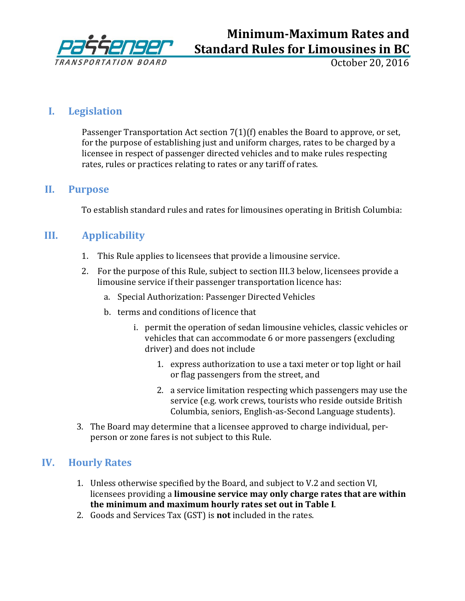

# **Minimum-Maximum Rates and Standard Rules for Limousines in BC**

October 20, 2016

## **I. Legislation**

Passenger Transportation Act section 7(1)(f) enables the Board to approve, or set, for the purpose of establishing just and uniform charges, rates to be charged by a licensee in respect of passenger directed vehicles and to make rules respecting rates, rules or practices relating to rates or any tariff of rates.

### **II. Purpose**

To establish standard rules and rates for limousines operating in British Columbia:

## **III. Applicability**

- 1. This Rule applies to licensees that provide a limousine service.
- 2. For the purpose of this Rule, subject to section III.3 below, licensees provide a limousine service if their passenger transportation licence has:
	- a. Special Authorization: Passenger Directed Vehicles
	- b. terms and conditions of licence that
		- i. permit the operation of sedan limousine vehicles, classic vehicles or vehicles that can accommodate 6 or more passengers (excluding driver) and does not include
			- 1. express authorization to use a taxi meter or top light or hail or flag passengers from the street, and
			- 2. a service limitation respecting which passengers may use the service (e.g. work crews, tourists who reside outside British Columbia, seniors, English-as-Second Language students).
- 3. The Board may determine that a licensee approved to charge individual, perperson or zone fares is not subject to this Rule.

## **IV. Hourly Rates**

- 1. Unless otherwise specified by the Board, and subject to V.2 and section VI, licensees providing a **limousine service may only charge rates that are within the minimum and maximum hourly rates set out in Table I**.
- 2. Goods and Services Tax (GST) is **not** included in the rates.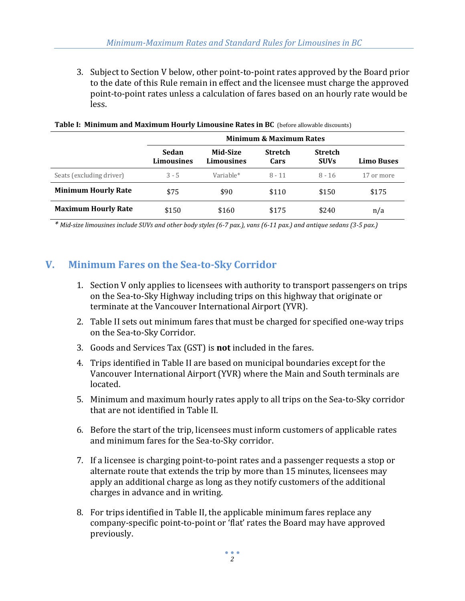3. Subject to Section V below, other point-to-point rates approved by the Board prior to the date of this Rule remain in effect and the licensee must charge the approved point-to-point rates unless a calculation of fares based on an hourly rate would be less.

|                            | <b>Minimum &amp; Maximum Rates</b> |                               |                        |                               |                   |  |  |
|----------------------------|------------------------------------|-------------------------------|------------------------|-------------------------------|-------------------|--|--|
|                            | Sedan<br>Limousines                | Mid-Size<br><b>Limousines</b> | <b>Stretch</b><br>Cars | <b>Stretch</b><br><b>SUVs</b> | <b>Limo Buses</b> |  |  |
| Seats (excluding driver)   | $3 - 5$                            | Variable*                     | $8 - 11$               | $8 - 16$                      | 17 or more        |  |  |
| <b>Minimum Hourly Rate</b> | \$75                               | \$90                          | \$110                  | \$150                         | \$175             |  |  |
| <b>Maximum Hourly Rate</b> | \$150                              | \$160                         | \$175                  | \$240                         | n/a               |  |  |

#### **Table I: Minimum and Maximum Hourly Limousine Rates in BC** (before allowable discounts)

*\* Mid-size limousines include SUVs and other body styles (6-7 pax.), vans (6-11 pax.) and antique sedans (3-5 pax.)*

### **V. Minimum Fares on the Sea-to-Sky Corridor**

- 1. Section V only applies to licensees with authority to transport passengers on trips on the Sea-to-Sky Highway including trips on this highway that originate or terminate at the Vancouver International Airport (YVR).
- 2. Table II sets out minimum fares that must be charged for specified one-way trips on the Sea-to-Sky Corridor.
- 3. Goods and Services Tax (GST) is **not** included in the fares.
- 4. Trips identified in Table II are based on municipal boundaries except for the Vancouver International Airport (YVR) where the Main and South terminals are located.
- 5. Minimum and maximum hourly rates apply to all trips on the Sea-to-Sky corridor that are not identified in Table II.
- 6. Before the start of the trip, licensees must inform customers of applicable rates and minimum fares for the Sea-to-Sky corridor.
- 7. If a licensee is charging point-to-point rates and a passenger requests a stop or alternate route that extends the trip by more than 15 minutes, licensees may apply an additional charge as long as they notify customers of the additional charges in advance and in writing.
- 8. For trips identified in Table II, the applicable minimum fares replace any company-specific point-to-point or 'flat' rates the Board may have approved previously.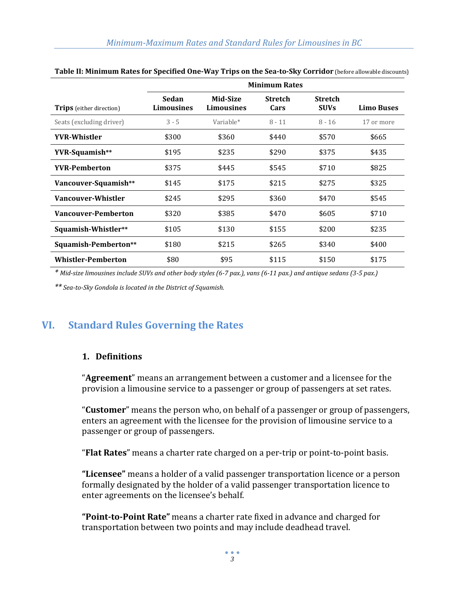|                                 | <b>Minimum Rates</b>       |                               |                        |                               |                   |  |
|---------------------------------|----------------------------|-------------------------------|------------------------|-------------------------------|-------------------|--|
| <b>Trips</b> (either direction) | Sedan<br><b>Limousines</b> | Mid-Size<br><b>Limousines</b> | <b>Stretch</b><br>Cars | <b>Stretch</b><br><b>SUVs</b> | <b>Limo Buses</b> |  |
| Seats (excluding driver)        | $3 - 5$                    | Variable*                     | $8 - 11$               | $8 - 16$                      | 17 or more        |  |
| <b>YVR-Whistler</b>             | \$300                      | \$360                         | \$440                  | \$570                         | \$665             |  |
| YVR-Squamish**                  | \$195                      | \$235                         | \$290                  | \$375                         | \$435             |  |
| <b>YVR-Pemberton</b>            | \$375                      | \$445                         | \$545                  | \$710                         | \$825             |  |
| Vancouver-Squamish**            | \$145                      | \$175                         | \$215                  | \$275                         | \$325             |  |
| Vancouver-Whistler              | \$245                      | \$295                         | \$360                  | \$470                         | \$545             |  |
| <b>Vancouver-Pemberton</b>      | \$320                      | \$385                         | \$470                  | \$605                         | \$710             |  |
| Squamish-Whistler**             | \$105                      | \$130                         | \$155                  | \$200                         | \$235             |  |
| Squamish-Pemberton**            | \$180                      | \$215                         | \$265                  | \$340                         | \$400             |  |
| <b>Whistler-Pemberton</b>       | \$80                       | \$95                          | \$115                  | \$150                         | \$175             |  |

#### **Table II: Minimum Rates for Specified One-Way Trips on the Sea-to-Sky Corridor** (before allowable discounts)

*\* Mid-size limousines include SUVs and other body styles (6-7 pax.), vans (6-11 pax.) and antique sedans (3-5 pax.)*

*\*\* Sea-to-Sky Gondola is located in the District of Squamish.*

### **VI. Standard Rules Governing the Rates**

#### **1. Definitions**

"**Agreement**" means an arrangement between a customer and a licensee for the provision a limousine service to a passenger or group of passengers at set rates.

"**Customer**" means the person who, on behalf of a passenger or group of passengers, enters an agreement with the licensee for the provision of limousine service to a passenger or group of passengers.

"**Flat Rates**" means a charter rate charged on a per-trip or point-to-point basis.

**"Licensee"** means a holder of a valid passenger transportation licence or a person formally designated by the holder of a valid passenger transportation licence to enter agreements on the licensee's behalf.

**"Point-to-Point Rate"** means a charter rate fixed in advance and charged for transportation between two points and may include deadhead travel.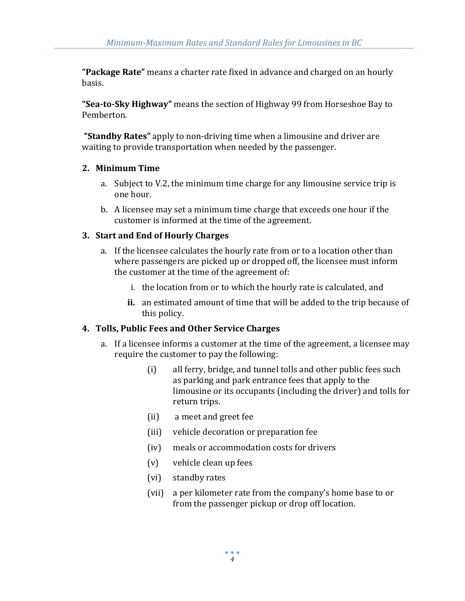**"Package Rate"** means a charter rate fixed in advance and charged on an hourly basis.

**"Sea-to-Sky Highway"** means the section of Highway 99 from Horseshoe Bay to Pemberton.

**"Standby Rates"** apply to non-driving time when a limousine and driver are waiting to provide transportation when needed by the passenger.

#### **2. Minimum Time**

- a. Subject to V.2, the minimum time charge for any limousine service trip is one hour.
- b. A licensee may set a minimum time charge that exceeds one hour if the customer is informed at the time of the agreement.

#### **3. Start and End of Hourly Charges**

- a. If the licensee calculates the hourly rate from or to a location other than where passengers are picked up or dropped off, the licensee must inform the customer at the time of the agreement of:
	- i. the location from or to which the hourly rate is calculated, and
	- **ii.** an estimated amount of time that will be added to the trip because of this policy.

#### **4. Tolls, Public Fees and Other Service Charges**

- a. If a licensee informs a customer at the time of the agreement, a licensee may require the customer to pay the following:
	- (i) all ferry, bridge, and tunnel tolls and other public fees such as parking and park entrance fees that apply to the limousine or its occupants (including the driver) and tolls for return trips.
	- (ii) a meet and greet fee
	- (iii) vehicle decoration or preparation fee
	- (iv) meals or accommodation costs for drivers
	- (v) vehicle clean up fees
	- (vi) standby rates
	- (vii) a per kilometer rate from the company's home base to or from the passenger pickup or drop off location.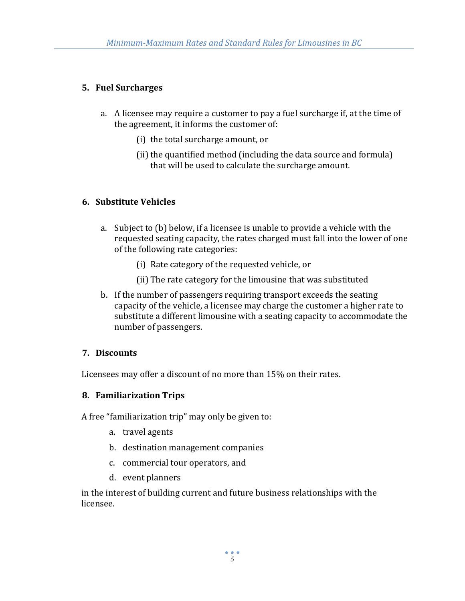### **5. Fuel Surcharges**

- a. A licensee may require a customer to pay a fuel surcharge if, at the time of the agreement, it informs the customer of:
	- (i) the total surcharge amount, or
	- (ii) the quantified method (including the data source and formula) that will be used to calculate the surcharge amount.

#### **6. Substitute Vehicles**

- a. Subject to (b) below, if a licensee is unable to provide a vehicle with the requested seating capacity, the rates charged must fall into the lower of one of the following rate categories:
	- (i) Rate category of the requested vehicle, or
	- (ii) The rate category for the limousine that was substituted
- b. If the number of passengers requiring transport exceeds the seating capacity of the vehicle, a licensee may charge the customer a higher rate to substitute a different limousine with a seating capacity to accommodate the number of passengers.

#### **7. Discounts**

Licensees may offer a discount of no more than 15% on their rates.

#### **8. Familiarization Trips**

A free "familiarization trip" may only be given to:

- a. travel agents
- b. destination management companies
- c. commercial tour operators, and
- d. event planners

in the interest of building current and future business relationships with the licensee.